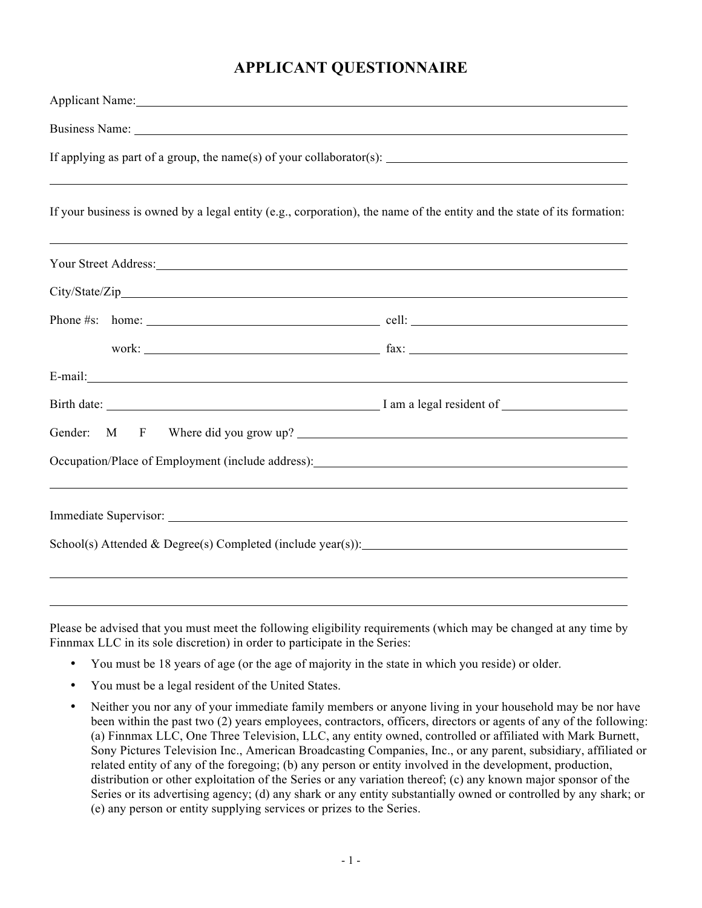# **APPLICANT QUESTIONNAIRE**

| Applicant Name: 1986                                                                                                    |  |  |  |
|-------------------------------------------------------------------------------------------------------------------------|--|--|--|
|                                                                                                                         |  |  |  |
|                                                                                                                         |  |  |  |
|                                                                                                                         |  |  |  |
| If your business is owned by a legal entity (e.g., corporation), the name of the entity and the state of its formation: |  |  |  |
| Your Street Address: New Your Street Address:                                                                           |  |  |  |
|                                                                                                                         |  |  |  |
|                                                                                                                         |  |  |  |
|                                                                                                                         |  |  |  |
|                                                                                                                         |  |  |  |
|                                                                                                                         |  |  |  |
| Gender: M F Where did you grow up?                                                                                      |  |  |  |
|                                                                                                                         |  |  |  |
|                                                                                                                         |  |  |  |
|                                                                                                                         |  |  |  |
|                                                                                                                         |  |  |  |
|                                                                                                                         |  |  |  |

Please be advised that you must meet the following eligibility requirements (which may be changed at any time by Finnmax LLC in its sole discretion) in order to participate in the Series:

- You must be 18 years of age (or the age of majority in the state in which you reside) or older.
- You must be a legal resident of the United States.
- Neither you nor any of your immediate family members or anyone living in your household may be nor have been within the past two (2) years employees, contractors, officers, directors or agents of any of the following: (a) Finnmax LLC, One Three Television, LLC, any entity owned, controlled or affiliated with Mark Burnett, Sony Pictures Television Inc., American Broadcasting Companies, Inc., or any parent, subsidiary, affiliated or related entity of any of the foregoing; (b) any person or entity involved in the development, production, distribution or other exploitation of the Series or any variation thereof; (c) any known major sponsor of the Series or its advertising agency; (d) any shark or any entity substantially owned or controlled by any shark; or (e) any person or entity supplying services or prizes to the Series.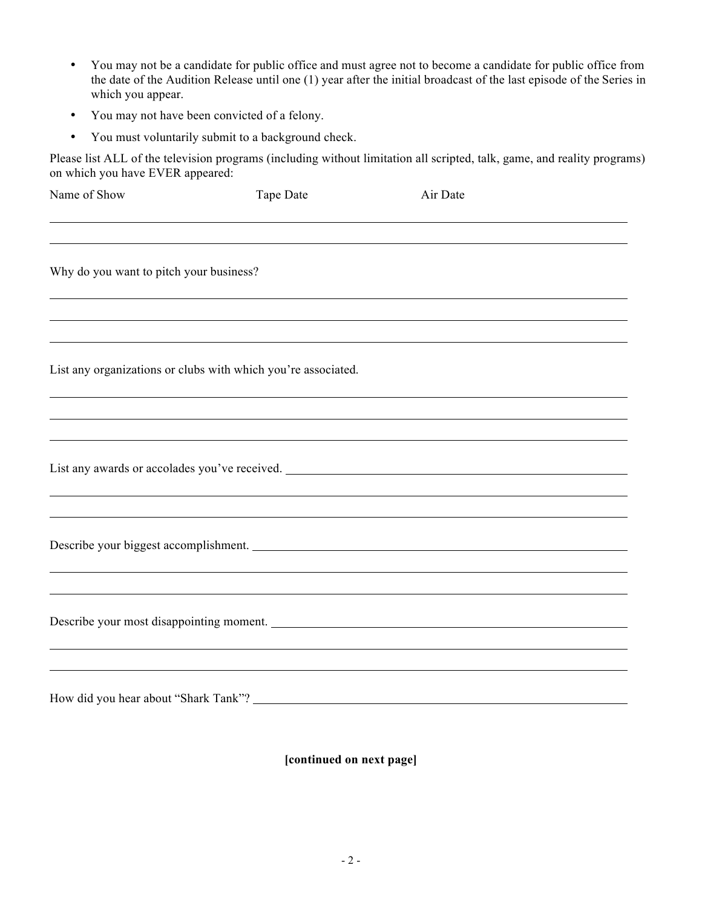- You may not be a candidate for public office and must agree not to become a candidate for public office from the date of the Audition Release until one (1) year after the initial broadcast of the last episode of the Series in which you appear.
- You may not have been convicted of a felony.
- You must voluntarily submit to a background check.

Please list ALL of the television programs (including without limitation all scripted, talk, game, and reality programs) on which you have EVER appeared:

| Name of Show                            | Tape Date                                                                                                                                                             | Air Date |  |
|-----------------------------------------|-----------------------------------------------------------------------------------------------------------------------------------------------------------------------|----------|--|
|                                         |                                                                                                                                                                       |          |  |
| Why do you want to pitch your business? |                                                                                                                                                                       |          |  |
|                                         |                                                                                                                                                                       |          |  |
|                                         | List any organizations or clubs with which you're associated.                                                                                                         |          |  |
|                                         |                                                                                                                                                                       |          |  |
|                                         | ,我们也不会有什么。""我们的人,我们也不会有什么?""我们的人,我们也不会有什么?""我们的人,我们也不会有什么?""我们的人,我们也不会有什么?""我们的人<br>List any awards or accolades you've received. ___________________________________ |          |  |
|                                         | Describe your biggest accomplishment.                                                                                                                                 |          |  |
|                                         | Describe your most disappointing moment.                                                                                                                              |          |  |
|                                         |                                                                                                                                                                       |          |  |

**[continued on next page]**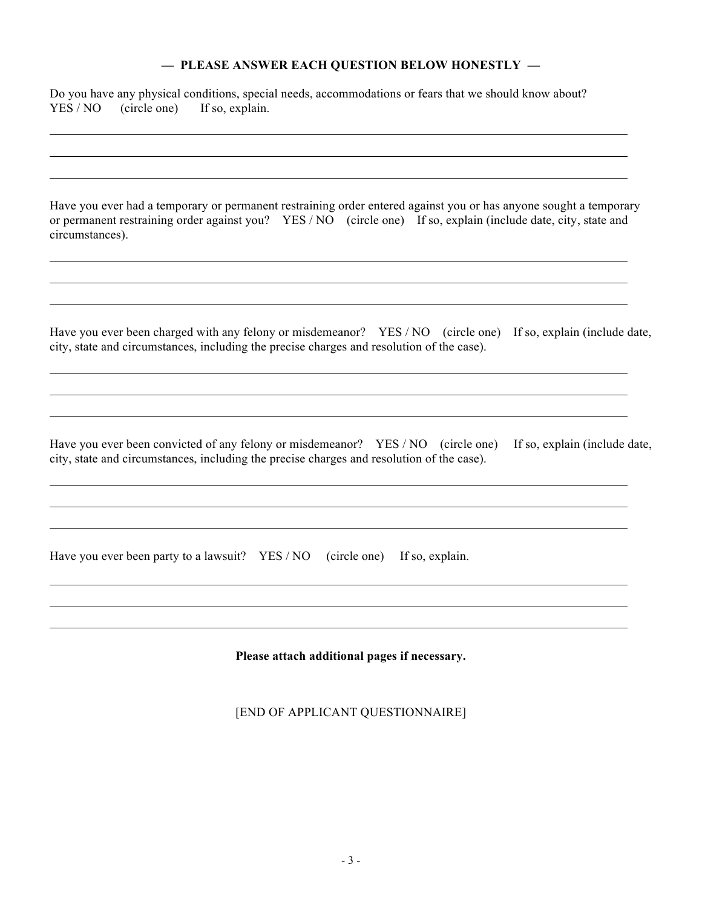## **— PLEASE ANSWER EACH QUESTION BELOW HONESTLY —**

| Do you have any physical conditions, special needs, accommodations or fears that we should know about?<br>YES / NO<br>(circle one)<br>If so, explain.                                                                                                   |  |  |
|---------------------------------------------------------------------------------------------------------------------------------------------------------------------------------------------------------------------------------------------------------|--|--|
|                                                                                                                                                                                                                                                         |  |  |
| Have you ever had a temporary or permanent restraining order entered against you or has anyone sought a temporary<br>or permanent restraining order against you? YES / NO (circle one) If so, explain (include date, city, state and<br>circumstances). |  |  |
|                                                                                                                                                                                                                                                         |  |  |
| Have you ever been charged with any felony or misdemeanor? YES / NO (circle one) If so, explain (include date,<br>city, state and circumstances, including the precise charges and resolution of the case).                                             |  |  |
|                                                                                                                                                                                                                                                         |  |  |
| Have you ever been convicted of any felony or misdemeanor? YES/NO (circle one)<br>If so, explain (include date,<br>city, state and circumstances, including the precise charges and resolution of the case).                                            |  |  |
| Have you ever been party to a lawsuit? YES / NO<br>(circle one)<br>If so, explain.                                                                                                                                                                      |  |  |
| Please attach additional pages if necessary.                                                                                                                                                                                                            |  |  |

[END OF APPLICANT QUESTIONNAIRE]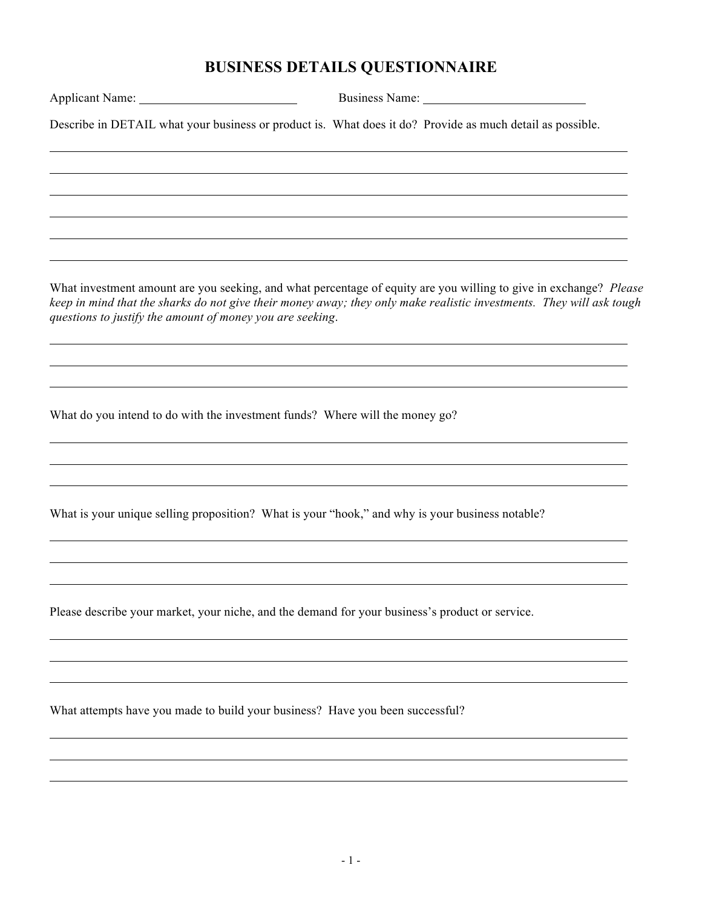# **BUSINESS DETAILS QUESTIONNAIRE**

| Describe in DETAIL what your business or product is. What does it do? Provide as much detail as possible. |                                                                                                                                                                                                                                           |
|-----------------------------------------------------------------------------------------------------------|-------------------------------------------------------------------------------------------------------------------------------------------------------------------------------------------------------------------------------------------|
|                                                                                                           |                                                                                                                                                                                                                                           |
|                                                                                                           |                                                                                                                                                                                                                                           |
|                                                                                                           |                                                                                                                                                                                                                                           |
| questions to justify the amount of money you are seeking.                                                 | What investment amount are you seeking, and what percentage of equity are you willing to give in exchange? Please<br>keep in mind that the sharks do not give their money away; they only make realistic investments. They will ask tough |
|                                                                                                           |                                                                                                                                                                                                                                           |
| What do you intend to do with the investment funds? Where will the money go?                              |                                                                                                                                                                                                                                           |
|                                                                                                           |                                                                                                                                                                                                                                           |
| What is your unique selling proposition? What is your "hook," and why is your business notable?           |                                                                                                                                                                                                                                           |
|                                                                                                           |                                                                                                                                                                                                                                           |
| Please describe your market, your niche, and the demand for your business's product or service.           |                                                                                                                                                                                                                                           |
|                                                                                                           |                                                                                                                                                                                                                                           |
| What attempts have you made to build your business? Have you been successful?                             |                                                                                                                                                                                                                                           |
|                                                                                                           |                                                                                                                                                                                                                                           |
|                                                                                                           |                                                                                                                                                                                                                                           |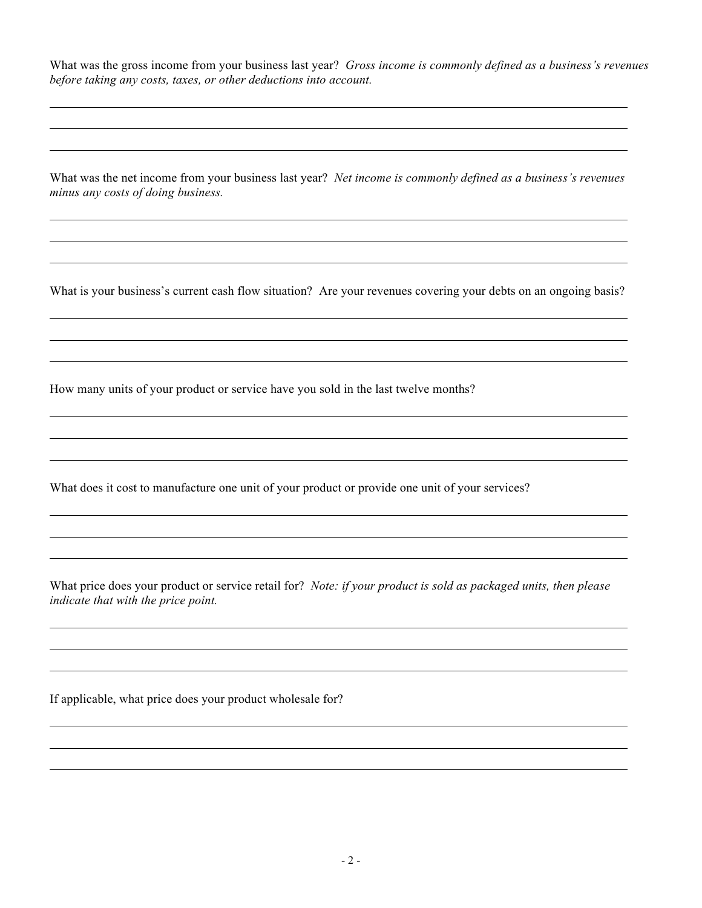What was the gross income from your business last year? *Gross income is commonly defined as a business's revenues before taking any costs, taxes, or other deductions into account.*

What was the net income from your business last year? *Net income is commonly defined as a business's revenues minus any costs of doing business.* 

What is your business's current cash flow situation? Are your revenues covering your debts on an ongoing basis?

How many units of your product or service have you sold in the last twelve months?

What does it cost to manufacture one unit of your product or provide one unit of your services?

What price does your product or service retail for? *Note: if your product is sold as packaged units, then please indicate that with the price point.*

If applicable, what price does your product wholesale for?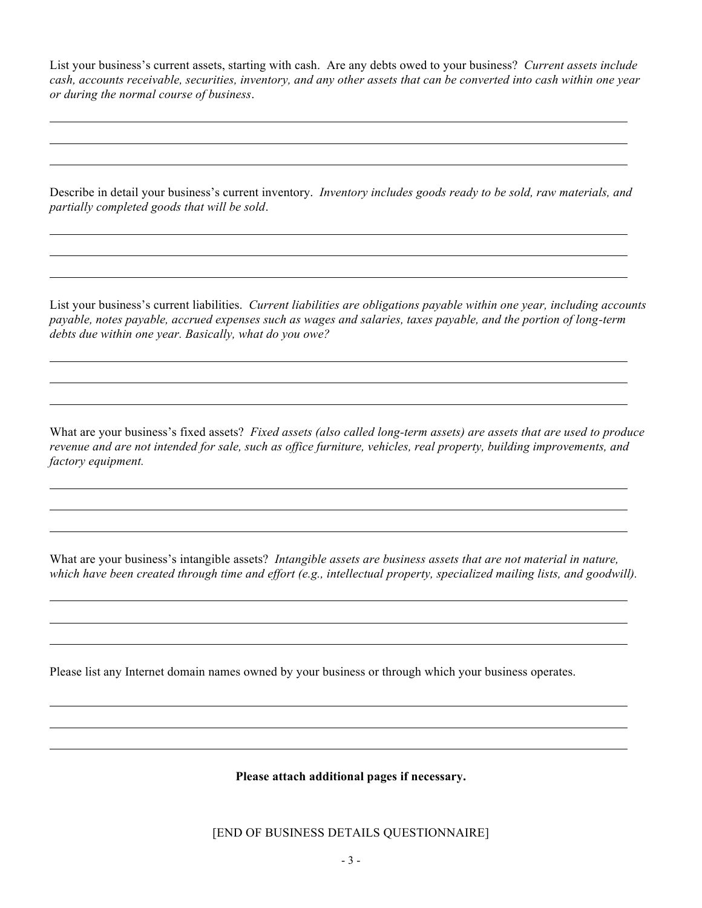List your business's current assets, starting with cash. Are any debts owed to your business? *Current assets include cash, accounts receivable, securities, inventory, and any other assets that can be converted into cash within one year or during the normal course of business*.

Describe in detail your business's current inventory. *Inventory includes goods ready to be sold, raw materials, and partially completed goods that will be sold*.

List your business's current liabilities. *Current liabilities are obligations payable within one year, including accounts payable, notes payable, accrued expenses such as wages and salaries, taxes payable, and the portion of long-term debts due within one year. Basically, what do you owe?*

What are your business's fixed assets? *Fixed assets (also called long-term assets) are assets that are used to produce revenue and are not intended for sale, such as office furniture, vehicles, real property, building improvements, and factory equipment.*

What are your business's intangible assets? *Intangible assets are business assets that are not material in nature, which have been created through time and effort (e.g., intellectual property, specialized mailing lists, and goodwill).*

Please list any Internet domain names owned by your business or through which your business operates.

**Please attach additional pages if necessary.**

[END OF BUSINESS DETAILS QUESTIONNAIRE]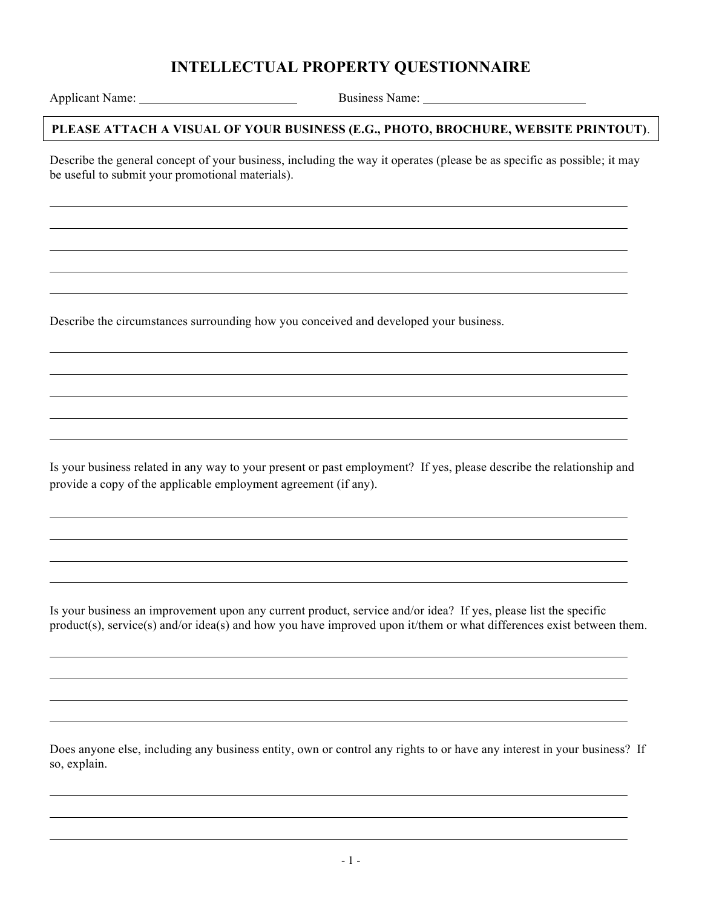# **INTELLECTUAL PROPERTY QUESTIONNAIRE**

Applicant Name: Business Name:

#### **PLEASE ATTACH A VISUAL OF YOUR BUSINESS (E.G., PHOTO, BROCHURE, WEBSITE PRINTOUT)**.

Describe the general concept of your business, including the way it operates (please be as specific as possible; it may be useful to submit your promotional materials).

Describe the circumstances surrounding how you conceived and developed your business.

Is your business related in any way to your present or past employment? If yes, please describe the relationship and provide a copy of the applicable employment agreement (if any).

Is your business an improvement upon any current product, service and/or idea? If yes, please list the specific product(s), service(s) and/or idea(s) and how you have improved upon it/them or what differences exist between them.

Does anyone else, including any business entity, own or control any rights to or have any interest in your business? If so, explain.

l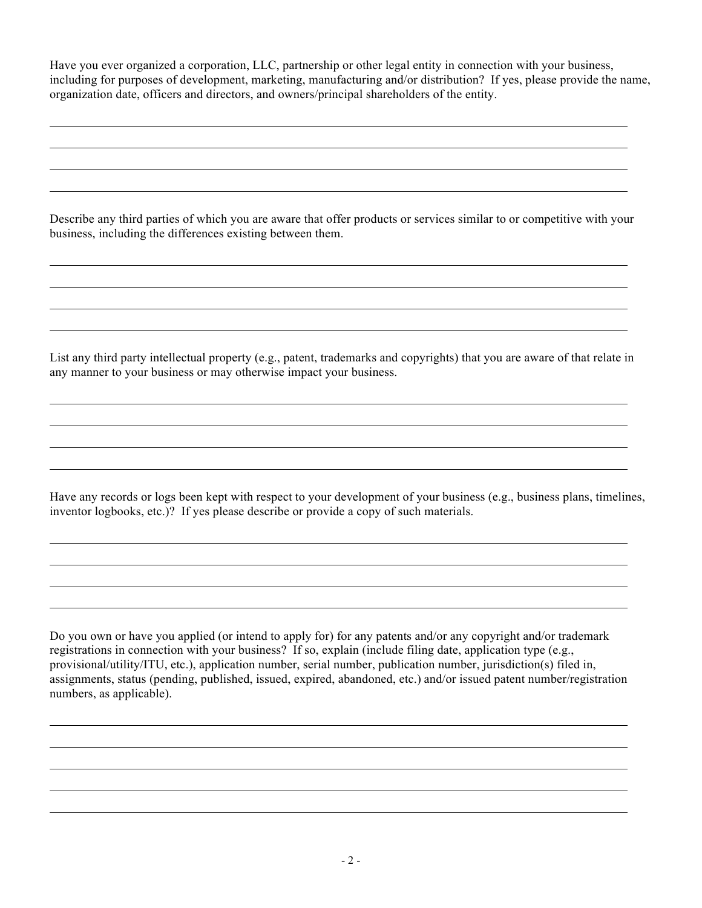Have you ever organized a corporation, LLC, partnership or other legal entity in connection with your business, including for purposes of development, marketing, manufacturing and/or distribution? If yes, please provide the name, organization date, officers and directors, and owners/principal shareholders of the entity.

Describe any third parties of which you are aware that offer products or services similar to or competitive with your business, including the differences existing between them.

List any third party intellectual property (e.g., patent, trademarks and copyrights) that you are aware of that relate in any manner to your business or may otherwise impact your business.

l

l

l

Have any records or logs been kept with respect to your development of your business (e.g., business plans, timelines, inventor logbooks, etc.)? If yes please describe or provide a copy of such materials.

> l

Do you own or have you applied (or intend to apply for) for any patents and/or any copyright and/or trademark registrations in connection with your business? If so, explain (include filing date, application type (e.g., provisional/utility/ITU, etc.), application number, serial number, publication number, jurisdiction(s) filed in, assignments, status (pending, published, issued, expired, abandoned, etc.) and/or issued patent number/registration numbers, as applicable).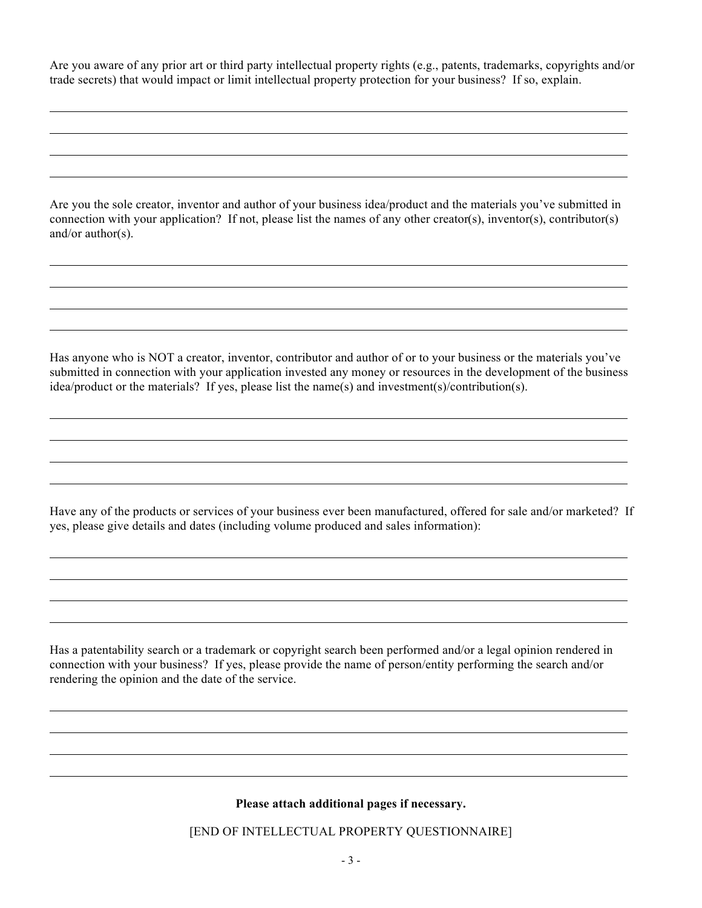Are you aware of any prior art or third party intellectual property rights (e.g., patents, trademarks, copyrights and/or trade secrets) that would impact or limit intellectual property protection for your business? If so, explain.

Are you the sole creator, inventor and author of your business idea/product and the materials you've submitted in connection with your application? If not, please list the names of any other creator(s), inventor(s), contributor(s) and/or author(s).

Has anyone who is NOT a creator, inventor, contributor and author of or to your business or the materials you've submitted in connection with your application invested any money or resources in the development of the business idea/product or the materials? If yes, please list the name(s) and investment(s)/contribution(s).

Have any of the products or services of your business ever been manufactured, offered for sale and/or marketed? If yes, please give details and dates (including volume produced and sales information):

Has a patentability search or a trademark or copyright search been performed and/or a legal opinion rendered in connection with your business? If yes, please provide the name of person/entity performing the search and/or rendering the opinion and the date of the service.

#### **Please attach additional pages if necessary.**

l

[END OF INTELLECTUAL PROPERTY QUESTIONNAIRE]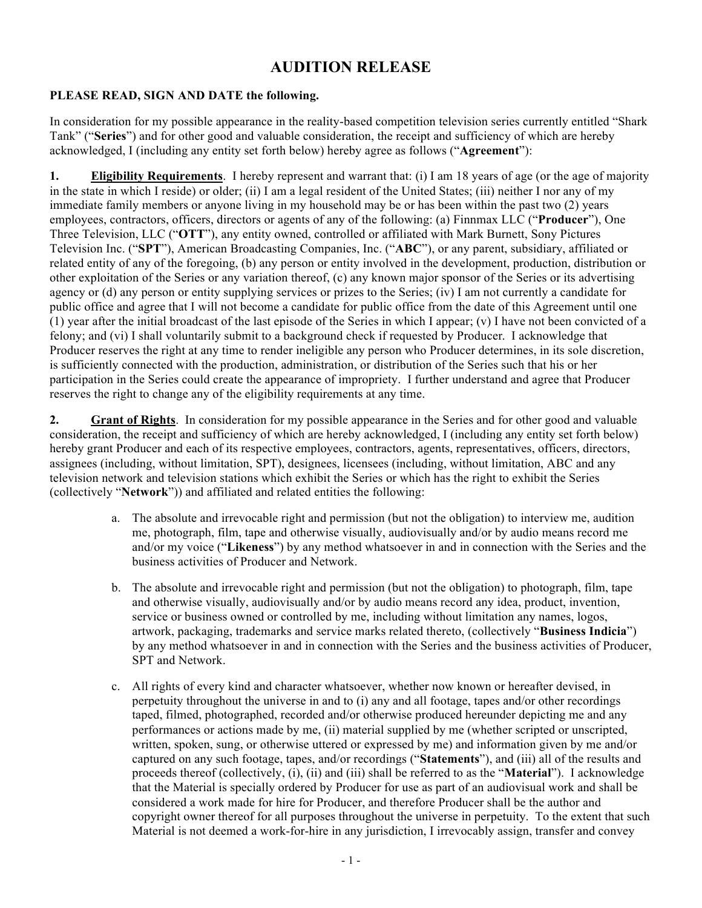## **AUDITION RELEASE**

## **PLEASE READ, SIGN AND DATE the following.**

In consideration for my possible appearance in the reality-based competition television series currently entitled "Shark Tank" ("**Series**") and for other good and valuable consideration, the receipt and sufficiency of which are hereby acknowledged, I (including any entity set forth below) hereby agree as follows ("**Agreement**"):

**1. Eligibility Requirements**. I hereby represent and warrant that: (i) I am 18 years of age (or the age of majority in the state in which I reside) or older; (ii) I am a legal resident of the United States; (iii) neither I nor any of my immediate family members or anyone living in my household may be or has been within the past two (2) years employees, contractors, officers, directors or agents of any of the following: (a) Finnmax LLC ("**Producer**"), One Three Television, LLC ("**OTT**"), any entity owned, controlled or affiliated with Mark Burnett, Sony Pictures Television Inc. ("**SPT**"), American Broadcasting Companies, Inc. ("**ABC**"), or any parent, subsidiary, affiliated or related entity of any of the foregoing, (b) any person or entity involved in the development, production, distribution or other exploitation of the Series or any variation thereof, (c) any known major sponsor of the Series or its advertising agency or (d) any person or entity supplying services or prizes to the Series; (iv) I am not currently a candidate for public office and agree that I will not become a candidate for public office from the date of this Agreement until one (1) year after the initial broadcast of the last episode of the Series in which I appear; (v) I have not been convicted of a felony; and (vi) I shall voluntarily submit to a background check if requested by Producer. I acknowledge that Producer reserves the right at any time to render ineligible any person who Producer determines, in its sole discretion, is sufficiently connected with the production, administration, or distribution of the Series such that his or her participation in the Series could create the appearance of impropriety. I further understand and agree that Producer reserves the right to change any of the eligibility requirements at any time.

**2. Grant of Rights**. In consideration for my possible appearance in the Series and for other good and valuable consideration, the receipt and sufficiency of which are hereby acknowledged, I (including any entity set forth below) hereby grant Producer and each of its respective employees, contractors, agents, representatives, officers, directors, assignees (including, without limitation, SPT), designees, licensees (including, without limitation, ABC and any television network and television stations which exhibit the Series or which has the right to exhibit the Series (collectively "**Network**")) and affiliated and related entities the following:

- a. The absolute and irrevocable right and permission (but not the obligation) to interview me, audition me, photograph, film, tape and otherwise visually, audiovisually and/or by audio means record me and/or my voice ("**Likeness**") by any method whatsoever in and in connection with the Series and the business activities of Producer and Network.
- b. The absolute and irrevocable right and permission (but not the obligation) to photograph, film, tape and otherwise visually, audiovisually and/or by audio means record any idea, product, invention, service or business owned or controlled by me, including without limitation any names, logos, artwork, packaging, trademarks and service marks related thereto, (collectively "**Business Indicia**") by any method whatsoever in and in connection with the Series and the business activities of Producer, SPT and Network.
- c. All rights of every kind and character whatsoever, whether now known or hereafter devised, in perpetuity throughout the universe in and to (i) any and all footage, tapes and/or other recordings taped, filmed, photographed, recorded and/or otherwise produced hereunder depicting me and any performances or actions made by me, (ii) material supplied by me (whether scripted or unscripted, written, spoken, sung, or otherwise uttered or expressed by me) and information given by me and/or captured on any such footage, tapes, and/or recordings ("**Statements**"), and (iii) all of the results and proceeds thereof (collectively, (i), (ii) and (iii) shall be referred to as the "**Material**"). I acknowledge that the Material is specially ordered by Producer for use as part of an audiovisual work and shall be considered a work made for hire for Producer, and therefore Producer shall be the author and copyright owner thereof for all purposes throughout the universe in perpetuity. To the extent that such Material is not deemed a work-for-hire in any jurisdiction, I irrevocably assign, transfer and convey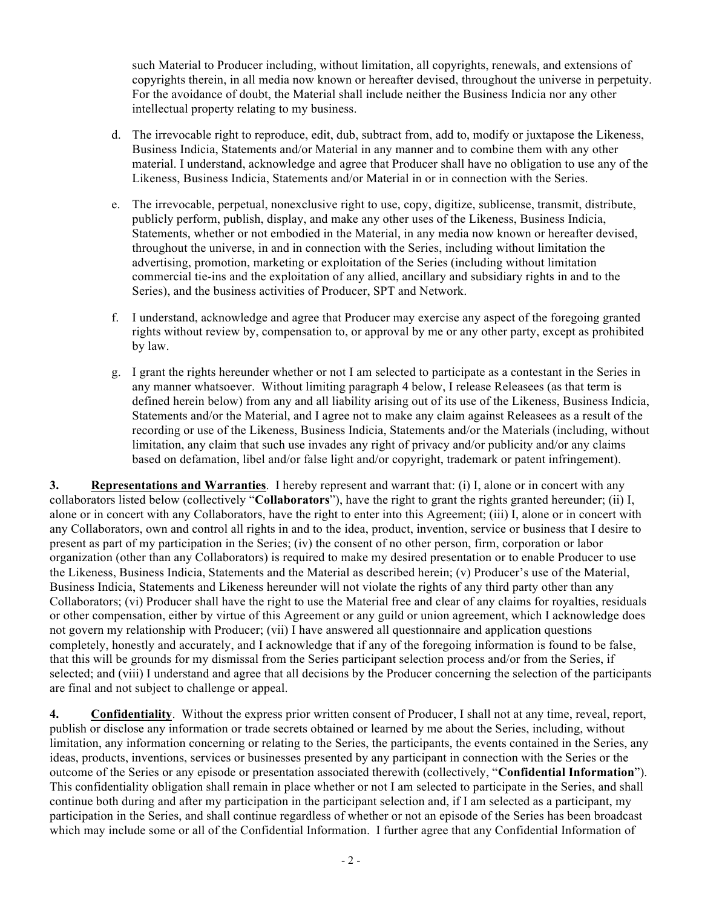such Material to Producer including, without limitation, all copyrights, renewals, and extensions of copyrights therein, in all media now known or hereafter devised, throughout the universe in perpetuity. For the avoidance of doubt, the Material shall include neither the Business Indicia nor any other intellectual property relating to my business.

- d. The irrevocable right to reproduce, edit, dub, subtract from, add to, modify or juxtapose the Likeness, Business Indicia, Statements and/or Material in any manner and to combine them with any other material. I understand, acknowledge and agree that Producer shall have no obligation to use any of the Likeness, Business Indicia, Statements and/or Material in or in connection with the Series.
- e. The irrevocable, perpetual, nonexclusive right to use, copy, digitize, sublicense, transmit, distribute, publicly perform, publish, display, and make any other uses of the Likeness, Business Indicia, Statements, whether or not embodied in the Material, in any media now known or hereafter devised, throughout the universe, in and in connection with the Series, including without limitation the advertising, promotion, marketing or exploitation of the Series (including without limitation commercial tie-ins and the exploitation of any allied, ancillary and subsidiary rights in and to the Series), and the business activities of Producer, SPT and Network.
- f. I understand, acknowledge and agree that Producer may exercise any aspect of the foregoing granted rights without review by, compensation to, or approval by me or any other party, except as prohibited by law.
- g. I grant the rights hereunder whether or not I am selected to participate as a contestant in the Series in any manner whatsoever. Without limiting paragraph 4 below, I release Releasees (as that term is defined herein below) from any and all liability arising out of its use of the Likeness, Business Indicia, Statements and/or the Material, and I agree not to make any claim against Releasees as a result of the recording or use of the Likeness, Business Indicia, Statements and/or the Materials (including, without limitation, any claim that such use invades any right of privacy and/or publicity and/or any claims based on defamation, libel and/or false light and/or copyright, trademark or patent infringement).

**3. Representations and Warranties**. I hereby represent and warrant that: (i) I, alone or in concert with any collaborators listed below (collectively "**Collaborators**"), have the right to grant the rights granted hereunder; (ii) I, alone or in concert with any Collaborators, have the right to enter into this Agreement; (iii) I, alone or in concert with any Collaborators, own and control all rights in and to the idea, product, invention, service or business that I desire to present as part of my participation in the Series; (iv) the consent of no other person, firm, corporation or labor organization (other than any Collaborators) is required to make my desired presentation or to enable Producer to use the Likeness, Business Indicia, Statements and the Material as described herein; (v) Producer's use of the Material, Business Indicia, Statements and Likeness hereunder will not violate the rights of any third party other than any Collaborators; (vi) Producer shall have the right to use the Material free and clear of any claims for royalties, residuals or other compensation, either by virtue of this Agreement or any guild or union agreement, which I acknowledge does not govern my relationship with Producer; (vii) I have answered all questionnaire and application questions completely, honestly and accurately, and I acknowledge that if any of the foregoing information is found to be false, that this will be grounds for my dismissal from the Series participant selection process and/or from the Series, if selected; and (viii) I understand and agree that all decisions by the Producer concerning the selection of the participants are final and not subject to challenge or appeal.

**4. Confidentiality**. Without the express prior written consent of Producer, I shall not at any time, reveal, report, publish or disclose any information or trade secrets obtained or learned by me about the Series, including, without limitation, any information concerning or relating to the Series, the participants, the events contained in the Series, any ideas, products, inventions, services or businesses presented by any participant in connection with the Series or the outcome of the Series or any episode or presentation associated therewith (collectively, "**Confidential Information**"). This confidentiality obligation shall remain in place whether or not I am selected to participate in the Series, and shall continue both during and after my participation in the participant selection and, if I am selected as a participant, my participation in the Series, and shall continue regardless of whether or not an episode of the Series has been broadcast which may include some or all of the Confidential Information. I further agree that any Confidential Information of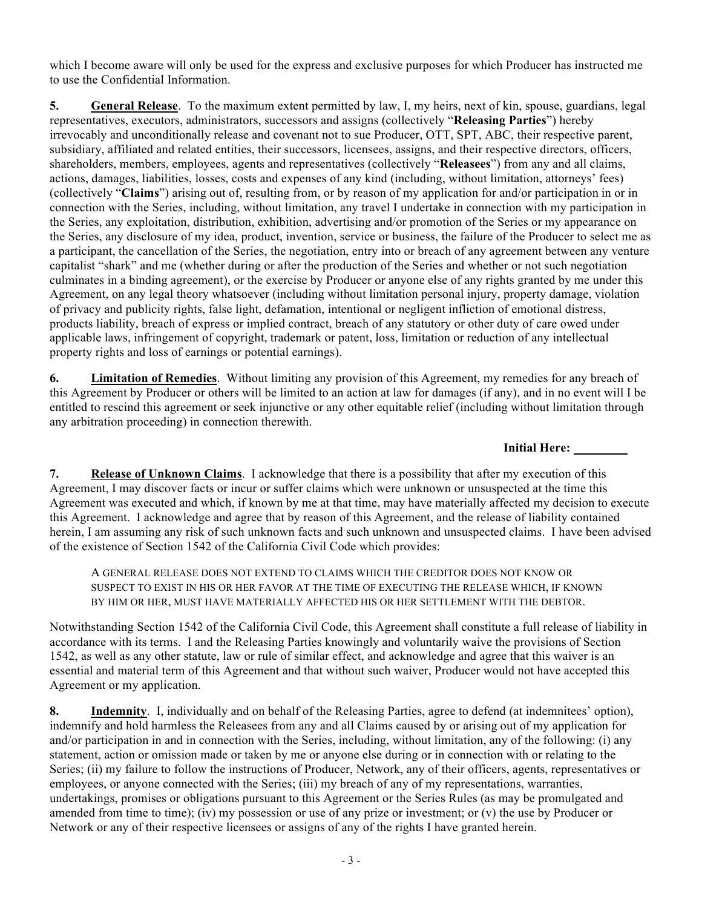which I become aware will only be used for the express and exclusive purposes for which Producer has instructed me to use the Confidential Information.

**5. General Release**. To the maximum extent permitted by law, I, my heirs, next of kin, spouse, guardians, legal representatives, executors, administrators, successors and assigns (collectively "**Releasing Parties**") hereby irrevocably and unconditionally release and covenant not to sue Producer, OTT, SPT, ABC, their respective parent, subsidiary, affiliated and related entities, their successors, licensees, assigns, and their respective directors, officers, shareholders, members, employees, agents and representatives (collectively "**Releasees**") from any and all claims, actions, damages, liabilities, losses, costs and expenses of any kind (including, without limitation, attorneys' fees) (collectively "**Claims**") arising out of, resulting from, or by reason of my application for and/or participation in or in connection with the Series, including, without limitation, any travel I undertake in connection with my participation in the Series, any exploitation, distribution, exhibition, advertising and/or promotion of the Series or my appearance on the Series, any disclosure of my idea, product, invention, service or business, the failure of the Producer to select me as a participant, the cancellation of the Series, the negotiation, entry into or breach of any agreement between any venture capitalist "shark" and me (whether during or after the production of the Series and whether or not such negotiation culminates in a binding agreement), or the exercise by Producer or anyone else of any rights granted by me under this Agreement, on any legal theory whatsoever (including without limitation personal injury, property damage, violation of privacy and publicity rights, false light, defamation, intentional or negligent infliction of emotional distress, products liability, breach of express or implied contract, breach of any statutory or other duty of care owed under applicable laws, infringement of copyright, trademark or patent, loss, limitation or reduction of any intellectual property rights and loss of earnings or potential earnings).

**6. Limitation of Remedies**. Without limiting any provision of this Agreement, my remedies for any breach of this Agreement by Producer or others will be limited to an action at law for damages (if any), and in no event will I be entitled to rescind this agreement or seek injunctive or any other equitable relief (including without limitation through any arbitration proceeding) in connection therewith.

**Initial Here:** 

**7. Release of Unknown Claims**. I acknowledge that there is a possibility that after my execution of this Agreement, I may discover facts or incur or suffer claims which were unknown or unsuspected at the time this Agreement was executed and which, if known by me at that time, may have materially affected my decision to execute this Agreement. I acknowledge and agree that by reason of this Agreement, and the release of liability contained herein, I am assuming any risk of such unknown facts and such unknown and unsuspected claims. I have been advised of the existence of Section 1542 of the California Civil Code which provides:

A GENERAL RELEASE DOES NOT EXTEND TO CLAIMS WHICH THE CREDITOR DOES NOT KNOW OR SUSPECT TO EXIST IN HIS OR HER FAVOR AT THE TIME OF EXECUTING THE RELEASE WHICH, IF KNOWN BY HIM OR HER, MUST HAVE MATERIALLY AFFECTED HIS OR HER SETTLEMENT WITH THE DEBTOR.

Notwithstanding Section 1542 of the California Civil Code, this Agreement shall constitute a full release of liability in accordance with its terms. I and the Releasing Parties knowingly and voluntarily waive the provisions of Section 1542, as well as any other statute, law or rule of similar effect, and acknowledge and agree that this waiver is an essential and material term of this Agreement and that without such waiver, Producer would not have accepted this Agreement or my application.

**8. Indemnity**.I, individually and on behalf of the Releasing Parties, agree to defend (at indemnitees' option), indemnify and hold harmless the Releasees from any and all Claims caused by or arising out of my application for and/or participation in and in connection with the Series, including, without limitation, any of the following: (i) any statement, action or omission made or taken by me or anyone else during or in connection with or relating to the Series; (ii) my failure to follow the instructions of Producer, Network, any of their officers, agents, representatives or employees, or anyone connected with the Series; (iii) my breach of any of my representations, warranties, undertakings, promises or obligations pursuant to this Agreement or the Series Rules (as may be promulgated and amended from time to time); (iv) my possession or use of any prize or investment; or (v) the use by Producer or Network or any of their respective licensees or assigns of any of the rights I have granted herein.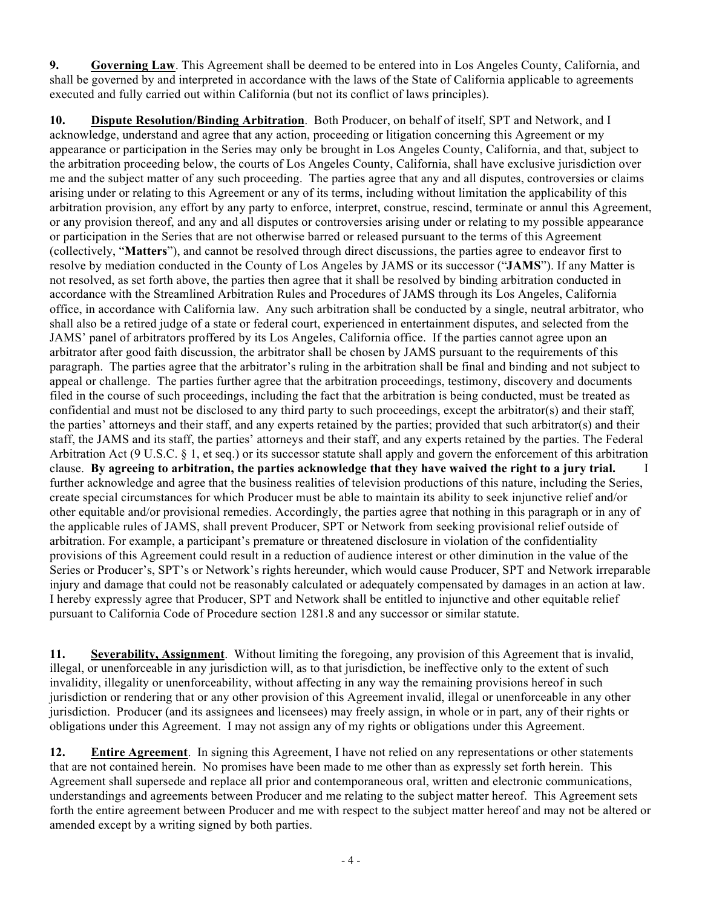**9. Governing Law**. This Agreement shall be deemed to be entered into in Los Angeles County, California, and shall be governed by and interpreted in accordance with the laws of the State of California applicable to agreements executed and fully carried out within California (but not its conflict of laws principles).

**10. Dispute Resolution/Binding Arbitration**. Both Producer, on behalf of itself, SPT and Network, and I acknowledge, understand and agree that any action, proceeding or litigation concerning this Agreement or my appearance or participation in the Series may only be brought in Los Angeles County, California, and that, subject to the arbitration proceeding below, the courts of Los Angeles County, California, shall have exclusive jurisdiction over me and the subject matter of any such proceeding. The parties agree that any and all disputes, controversies or claims arising under or relating to this Agreement or any of its terms, including without limitation the applicability of this arbitration provision, any effort by any party to enforce, interpret, construe, rescind, terminate or annul this Agreement, or any provision thereof, and any and all disputes or controversies arising under or relating to my possible appearance or participation in the Series that are not otherwise barred or released pursuant to the terms of this Agreement (collectively, "**Matters**"), and cannot be resolved through direct discussions, the parties agree to endeavor first to resolve by mediation conducted in the County of Los Angeles by JAMS or its successor ("**JAMS**"). If any Matter is not resolved, as set forth above, the parties then agree that it shall be resolved by binding arbitration conducted in accordance with the Streamlined Arbitration Rules and Procedures of JAMS through its Los Angeles, California office, in accordance with California law. Any such arbitration shall be conducted by a single, neutral arbitrator, who shall also be a retired judge of a state or federal court, experienced in entertainment disputes, and selected from the JAMS' panel of arbitrators proffered by its Los Angeles, California office. If the parties cannot agree upon an arbitrator after good faith discussion, the arbitrator shall be chosen by JAMS pursuant to the requirements of this paragraph. The parties agree that the arbitrator's ruling in the arbitration shall be final and binding and not subject to appeal or challenge. The parties further agree that the arbitration proceedings, testimony, discovery and documents filed in the course of such proceedings, including the fact that the arbitration is being conducted, must be treated as confidential and must not be disclosed to any third party to such proceedings, except the arbitrator(s) and their staff, the parties' attorneys and their staff, and any experts retained by the parties; provided that such arbitrator(s) and their staff, the JAMS and its staff, the parties' attorneys and their staff, and any experts retained by the parties. The Federal Arbitration Act (9 U.S.C. § 1, et seq.) or its successor statute shall apply and govern the enforcement of this arbitration clause. **By agreeing to arbitration, the parties acknowledge that they have waived the right to a jury trial.** I further acknowledge and agree that the business realities of television productions of this nature, including the Series, create special circumstances for which Producer must be able to maintain its ability to seek injunctive relief and/or other equitable and/or provisional remedies. Accordingly, the parties agree that nothing in this paragraph or in any of the applicable rules of JAMS, shall prevent Producer, SPT or Network from seeking provisional relief outside of arbitration. For example, a participant's premature or threatened disclosure in violation of the confidentiality provisions of this Agreement could result in a reduction of audience interest or other diminution in the value of the Series or Producer's, SPT's or Network's rights hereunder, which would cause Producer, SPT and Network irreparable injury and damage that could not be reasonably calculated or adequately compensated by damages in an action at law. I hereby expressly agree that Producer, SPT and Network shall be entitled to injunctive and other equitable relief pursuant to California Code of Procedure section 1281.8 and any successor or similar statute.

**11. Severability, Assignment**. Without limiting the foregoing, any provision of this Agreement that is invalid, illegal, or unenforceable in any jurisdiction will, as to that jurisdiction, be ineffective only to the extent of such invalidity, illegality or unenforceability, without affecting in any way the remaining provisions hereof in such jurisdiction or rendering that or any other provision of this Agreement invalid, illegal or unenforceable in any other jurisdiction. Producer (and its assignees and licensees) may freely assign, in whole or in part, any of their rights or obligations under this Agreement. I may not assign any of my rights or obligations under this Agreement.

**12. Entire Agreement**. In signing this Agreement, I have not relied on any representations or other statements that are not contained herein. No promises have been made to me other than as expressly set forth herein. This Agreement shall supersede and replace all prior and contemporaneous oral, written and electronic communications, understandings and agreements between Producer and me relating to the subject matter hereof. This Agreement sets forth the entire agreement between Producer and me with respect to the subject matter hereof and may not be altered or amended except by a writing signed by both parties.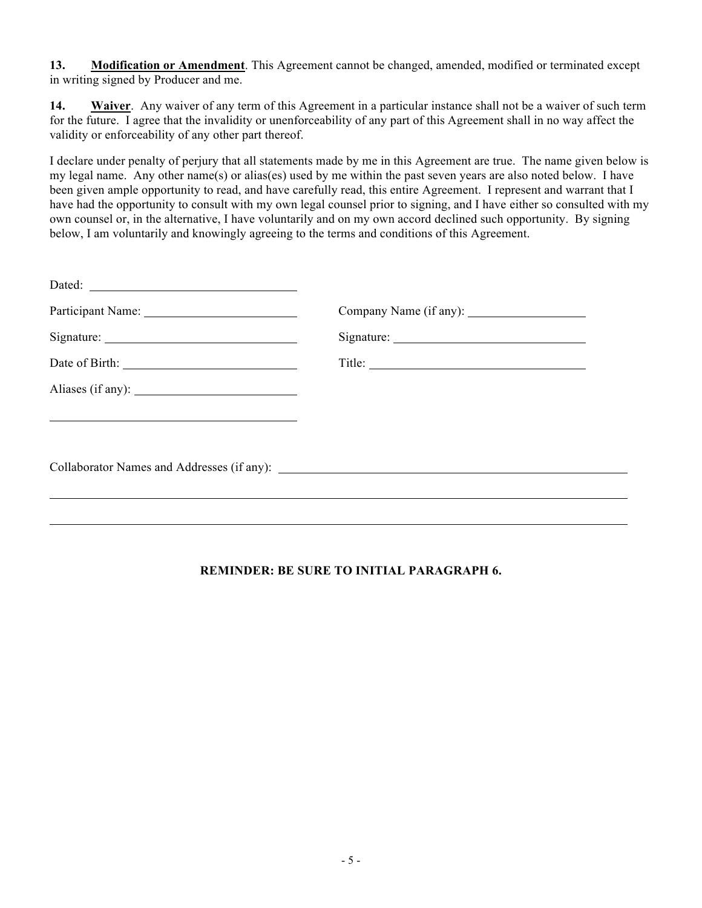**13. Modification or Amendment**. This Agreement cannot be changed, amended, modified or terminated except in writing signed by Producer and me.

**14. Waiver**.Any waiver of any term of this Agreement in a particular instance shall not be a waiver of such term for the future. I agree that the invalidity or unenforceability of any part of this Agreement shall in no way affect the validity or enforceability of any other part thereof.

I declare under penalty of perjury that all statements made by me in this Agreement are true. The name given below is my legal name. Any other name(s) or alias(es) used by me within the past seven years are also noted below. I have been given ample opportunity to read, and have carefully read, this entire Agreement. I represent and warrant that I have had the opportunity to consult with my own legal counsel prior to signing, and I have either so consulted with my own counsel or, in the alternative, I have voluntarily and on my own accord declined such opportunity. By signing below, I am voluntarily and knowingly agreeing to the terms and conditions of this Agreement.

| Dated: |  |
|--------|--|
|        |  |
|        |  |
|        |  |
|        |  |
|        |  |
|        |  |
|        |  |
|        |  |
|        |  |

## **REMINDER: BE SURE TO INITIAL PARAGRAPH 6.**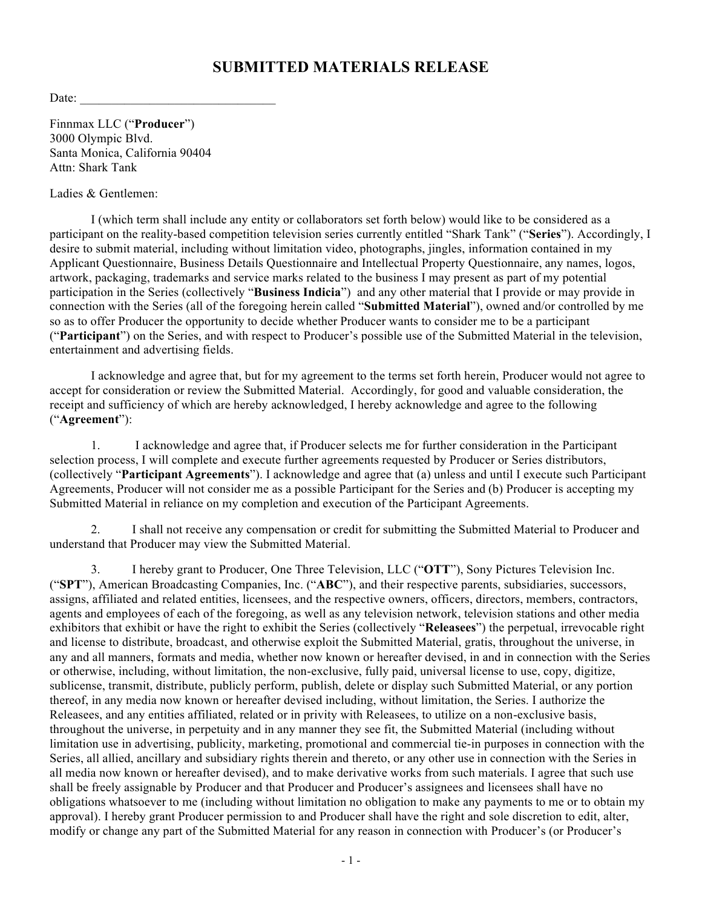## **SUBMITTED MATERIALS RELEASE**

Date:

Finnmax LLC ("**Producer**") 3000 Olympic Blvd. Santa Monica, California 90404 Attn: Shark Tank

Ladies & Gentlemen:

I (which term shall include any entity or collaborators set forth below) would like to be considered as a participant on the reality-based competition television series currently entitled "Shark Tank" ("**Series**"). Accordingly, I desire to submit material, including without limitation video, photographs, jingles, information contained in my Applicant Questionnaire, Business Details Questionnaire and Intellectual Property Questionnaire, any names, logos, artwork, packaging, trademarks and service marks related to the business I may present as part of my potential participation in the Series (collectively "**Business Indicia**") and any other material that I provide or may provide in connection with the Series (all of the foregoing herein called "**Submitted Material**"), owned and/or controlled by me so as to offer Producer the opportunity to decide whether Producer wants to consider me to be a participant ("**Participant**") on the Series, and with respect to Producer's possible use of the Submitted Material in the television, entertainment and advertising fields.

I acknowledge and agree that, but for my agreement to the terms set forth herein, Producer would not agree to accept for consideration or review the Submitted Material. Accordingly, for good and valuable consideration, the receipt and sufficiency of which are hereby acknowledged, I hereby acknowledge and agree to the following ("**Agreement**"):

1. I acknowledge and agree that, if Producer selects me for further consideration in the Participant selection process, I will complete and execute further agreements requested by Producer or Series distributors, (collectively "**Participant Agreements**"). I acknowledge and agree that (a) unless and until I execute such Participant Agreements, Producer will not consider me as a possible Participant for the Series and (b) Producer is accepting my Submitted Material in reliance on my completion and execution of the Participant Agreements.

2. I shall not receive any compensation or credit for submitting the Submitted Material to Producer and understand that Producer may view the Submitted Material.

3. I hereby grant to Producer, One Three Television, LLC ("**OTT**"), Sony Pictures Television Inc. ("**SPT**"), American Broadcasting Companies, Inc. ("**ABC**"), and their respective parents, subsidiaries, successors, assigns, affiliated and related entities, licensees, and the respective owners, officers, directors, members, contractors, agents and employees of each of the foregoing, as well as any television network, television stations and other media exhibitors that exhibit or have the right to exhibit the Series (collectively "**Releasees**") the perpetual, irrevocable right and license to distribute, broadcast, and otherwise exploit the Submitted Material, gratis, throughout the universe, in any and all manners, formats and media, whether now known or hereafter devised, in and in connection with the Series or otherwise, including, without limitation, the non-exclusive, fully paid, universal license to use, copy, digitize, sublicense, transmit, distribute, publicly perform, publish, delete or display such Submitted Material, or any portion thereof, in any media now known or hereafter devised including, without limitation, the Series. I authorize the Releasees, and any entities affiliated, related or in privity with Releasees, to utilize on a non-exclusive basis, throughout the universe, in perpetuity and in any manner they see fit, the Submitted Material (including without limitation use in advertising, publicity, marketing, promotional and commercial tie-in purposes in connection with the Series, all allied, ancillary and subsidiary rights therein and thereto, or any other use in connection with the Series in all media now known or hereafter devised), and to make derivative works from such materials. I agree that such use shall be freely assignable by Producer and that Producer and Producer's assignees and licensees shall have no obligations whatsoever to me (including without limitation no obligation to make any payments to me or to obtain my approval). I hereby grant Producer permission to and Producer shall have the right and sole discretion to edit, alter, modify or change any part of the Submitted Material for any reason in connection with Producer's (or Producer's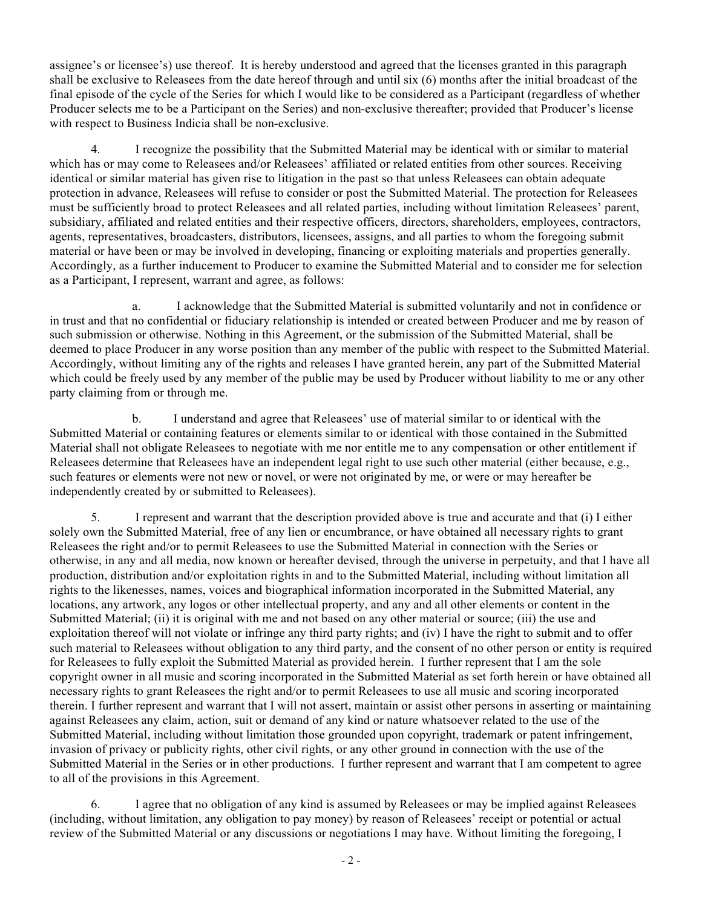assignee's or licensee's) use thereof. It is hereby understood and agreed that the licenses granted in this paragraph shall be exclusive to Releasees from the date hereof through and until six (6) months after the initial broadcast of the final episode of the cycle of the Series for which I would like to be considered as a Participant (regardless of whether Producer selects me to be a Participant on the Series) and non-exclusive thereafter; provided that Producer's license with respect to Business Indicia shall be non-exclusive.

4. I recognize the possibility that the Submitted Material may be identical with or similar to material which has or may come to Releasees and/or Releasees' affiliated or related entities from other sources. Receiving identical or similar material has given rise to litigation in the past so that unless Releasees can obtain adequate protection in advance, Releasees will refuse to consider or post the Submitted Material. The protection for Releasees must be sufficiently broad to protect Releasees and all related parties, including without limitation Releasees' parent, subsidiary, affiliated and related entities and their respective officers, directors, shareholders, employees, contractors, agents, representatives, broadcasters, distributors, licensees, assigns, and all parties to whom the foregoing submit material or have been or may be involved in developing, financing or exploiting materials and properties generally. Accordingly, as a further inducement to Producer to examine the Submitted Material and to consider me for selection as a Participant, I represent, warrant and agree, as follows:

a. I acknowledge that the Submitted Material is submitted voluntarily and not in confidence or in trust and that no confidential or fiduciary relationship is intended or created between Producer and me by reason of such submission or otherwise. Nothing in this Agreement, or the submission of the Submitted Material, shall be deemed to place Producer in any worse position than any member of the public with respect to the Submitted Material. Accordingly, without limiting any of the rights and releases I have granted herein, any part of the Submitted Material which could be freely used by any member of the public may be used by Producer without liability to me or any other party claiming from or through me.

b. I understand and agree that Releasees' use of material similar to or identical with the Submitted Material or containing features or elements similar to or identical with those contained in the Submitted Material shall not obligate Releasees to negotiate with me nor entitle me to any compensation or other entitlement if Releasees determine that Releasees have an independent legal right to use such other material (either because, e.g., such features or elements were not new or novel, or were not originated by me, or were or may hereafter be independently created by or submitted to Releasees).

5. I represent and warrant that the description provided above is true and accurate and that (i) I either solely own the Submitted Material, free of any lien or encumbrance, or have obtained all necessary rights to grant Releasees the right and/or to permit Releasees to use the Submitted Material in connection with the Series or otherwise, in any and all media, now known or hereafter devised, through the universe in perpetuity, and that I have all production, distribution and/or exploitation rights in and to the Submitted Material, including without limitation all rights to the likenesses, names, voices and biographical information incorporated in the Submitted Material, any locations, any artwork, any logos or other intellectual property, and any and all other elements or content in the Submitted Material; (ii) it is original with me and not based on any other material or source; (iii) the use and exploitation thereof will not violate or infringe any third party rights; and (iv) I have the right to submit and to offer such material to Releasees without obligation to any third party, and the consent of no other person or entity is required for Releasees to fully exploit the Submitted Material as provided herein. I further represent that I am the sole copyright owner in all music and scoring incorporated in the Submitted Material as set forth herein or have obtained all necessary rights to grant Releasees the right and/or to permit Releasees to use all music and scoring incorporated therein. I further represent and warrant that I will not assert, maintain or assist other persons in asserting or maintaining against Releasees any claim, action, suit or demand of any kind or nature whatsoever related to the use of the Submitted Material, including without limitation those grounded upon copyright, trademark or patent infringement, invasion of privacy or publicity rights, other civil rights, or any other ground in connection with the use of the Submitted Material in the Series or in other productions. I further represent and warrant that I am competent to agree to all of the provisions in this Agreement.

6. I agree that no obligation of any kind is assumed by Releasees or may be implied against Releasees (including, without limitation, any obligation to pay money) by reason of Releasees' receipt or potential or actual review of the Submitted Material or any discussions or negotiations I may have. Without limiting the foregoing, I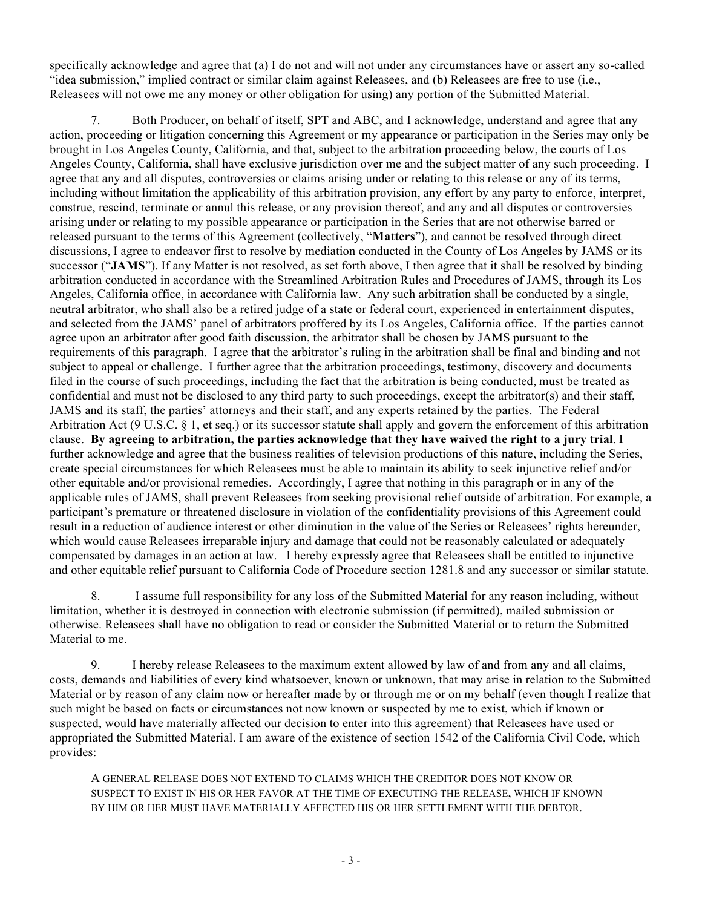specifically acknowledge and agree that (a) I do not and will not under any circumstances have or assert any so-called "idea submission," implied contract or similar claim against Releasees, and (b) Releasees are free to use (i.e., Releasees will not owe me any money or other obligation for using) any portion of the Submitted Material.

7. Both Producer, on behalf of itself, SPT and ABC, and I acknowledge, understand and agree that any action, proceeding or litigation concerning this Agreement or my appearance or participation in the Series may only be brought in Los Angeles County, California, and that, subject to the arbitration proceeding below, the courts of Los Angeles County, California, shall have exclusive jurisdiction over me and the subject matter of any such proceeding. I agree that any and all disputes, controversies or claims arising under or relating to this release or any of its terms, including without limitation the applicability of this arbitration provision, any effort by any party to enforce, interpret, construe, rescind, terminate or annul this release, or any provision thereof, and any and all disputes or controversies arising under or relating to my possible appearance or participation in the Series that are not otherwise barred or released pursuant to the terms of this Agreement (collectively, "**Matters**"), and cannot be resolved through direct discussions, I agree to endeavor first to resolve by mediation conducted in the County of Los Angeles by JAMS or its successor ("**JAMS**"). If any Matter is not resolved, as set forth above, I then agree that it shall be resolved by binding arbitration conducted in accordance with the Streamlined Arbitration Rules and Procedures of JAMS, through its Los Angeles, California office, in accordance with California law. Any such arbitration shall be conducted by a single, neutral arbitrator, who shall also be a retired judge of a state or federal court, experienced in entertainment disputes, and selected from the JAMS' panel of arbitrators proffered by its Los Angeles, California office. If the parties cannot agree upon an arbitrator after good faith discussion, the arbitrator shall be chosen by JAMS pursuant to the requirements of this paragraph. I agree that the arbitrator's ruling in the arbitration shall be final and binding and not subject to appeal or challenge. I further agree that the arbitration proceedings, testimony, discovery and documents filed in the course of such proceedings, including the fact that the arbitration is being conducted, must be treated as confidential and must not be disclosed to any third party to such proceedings, except the arbitrator(s) and their staff, JAMS and its staff, the parties' attorneys and their staff, and any experts retained by the parties. The Federal Arbitration Act (9 U.S.C. § 1, et seq.) or its successor statute shall apply and govern the enforcement of this arbitration clause. **By agreeing to arbitration, the parties acknowledge that they have waived the right to a jury trial**. I further acknowledge and agree that the business realities of television productions of this nature, including the Series, create special circumstances for which Releasees must be able to maintain its ability to seek injunctive relief and/or other equitable and/or provisional remedies. Accordingly, I agree that nothing in this paragraph or in any of the applicable rules of JAMS, shall prevent Releasees from seeking provisional relief outside of arbitration. For example, a participant's premature or threatened disclosure in violation of the confidentiality provisions of this Agreement could result in a reduction of audience interest or other diminution in the value of the Series or Releasees' rights hereunder, which would cause Releasees irreparable injury and damage that could not be reasonably calculated or adequately compensated by damages in an action at law. I hereby expressly agree that Releasees shall be entitled to injunctive and other equitable relief pursuant to California Code of Procedure section 1281.8 and any successor or similar statute.

8. I assume full responsibility for any loss of the Submitted Material for any reason including, without limitation, whether it is destroyed in connection with electronic submission (if permitted), mailed submission or otherwise. Releasees shall have no obligation to read or consider the Submitted Material or to return the Submitted Material to me.

9. I hereby release Releasees to the maximum extent allowed by law of and from any and all claims, costs, demands and liabilities of every kind whatsoever, known or unknown, that may arise in relation to the Submitted Material or by reason of any claim now or hereafter made by or through me or on my behalf (even though I realize that such might be based on facts or circumstances not now known or suspected by me to exist, which if known or suspected, would have materially affected our decision to enter into this agreement) that Releasees have used or appropriated the Submitted Material. I am aware of the existence of section 1542 of the California Civil Code, which provides:

A GENERAL RELEASE DOES NOT EXTEND TO CLAIMS WHICH THE CREDITOR DOES NOT KNOW OR SUSPECT TO EXIST IN HIS OR HER FAVOR AT THE TIME OF EXECUTING THE RELEASE, WHICH IF KNOWN BY HIM OR HER MUST HAVE MATERIALLY AFFECTED HIS OR HER SETTLEMENT WITH THE DEBTOR.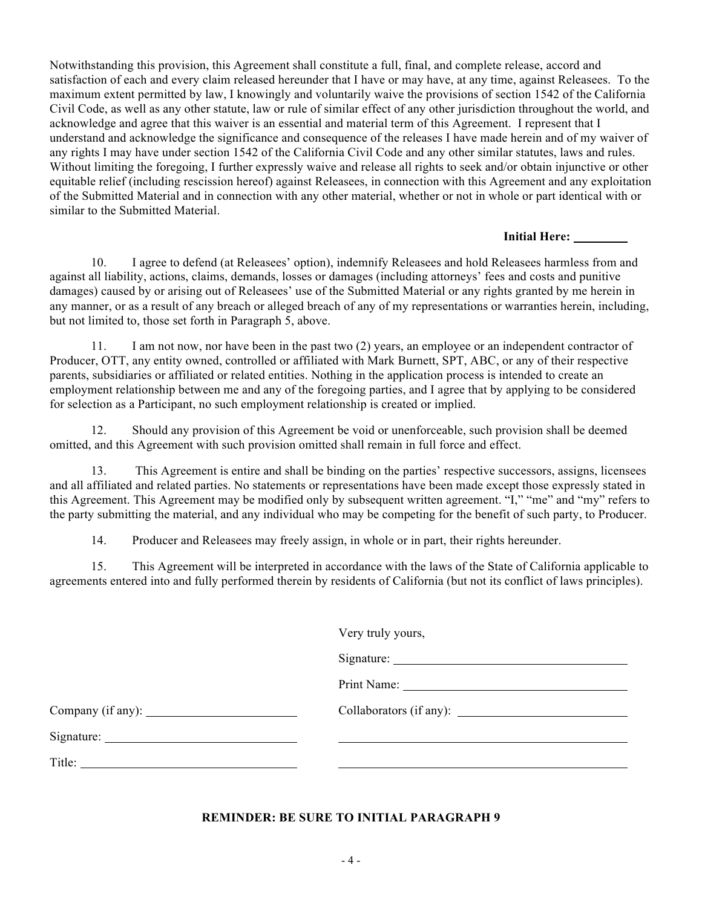Notwithstanding this provision, this Agreement shall constitute a full, final, and complete release, accord and satisfaction of each and every claim released hereunder that I have or may have, at any time, against Releasees. To the maximum extent permitted by law, I knowingly and voluntarily waive the provisions of section 1542 of the California Civil Code, as well as any other statute, law or rule of similar effect of any other jurisdiction throughout the world, and acknowledge and agree that this waiver is an essential and material term of this Agreement. I represent that I understand and acknowledge the significance and consequence of the releases I have made herein and of my waiver of any rights I may have under section 1542 of the California Civil Code and any other similar statutes, laws and rules. Without limiting the foregoing, I further expressly waive and release all rights to seek and/or obtain injunctive or other equitable relief (including rescission hereof) against Releasees, in connection with this Agreement and any exploitation of the Submitted Material and in connection with any other material, whether or not in whole or part identical with or similar to the Submitted Material.

#### **Initial Here:**

10. I agree to defend (at Releasees' option), indemnify Releasees and hold Releasees harmless from and against all liability, actions, claims, demands, losses or damages (including attorneys' fees and costs and punitive damages) caused by or arising out of Releasees' use of the Submitted Material or any rights granted by me herein in any manner, or as a result of any breach or alleged breach of any of my representations or warranties herein, including, but not limited to, those set forth in Paragraph 5, above.

11. I am not now, nor have been in the past two (2) years, an employee or an independent contractor of Producer, OTT, any entity owned, controlled or affiliated with Mark Burnett, SPT, ABC, or any of their respective parents, subsidiaries or affiliated or related entities. Nothing in the application process is intended to create an employment relationship between me and any of the foregoing parties, and I agree that by applying to be considered for selection as a Participant, no such employment relationship is created or implied.

12. Should any provision of this Agreement be void or unenforceable, such provision shall be deemed omitted, and this Agreement with such provision omitted shall remain in full force and effect.

13. This Agreement is entire and shall be binding on the parties' respective successors, assigns, licensees and all affiliated and related parties. No statements or representations have been made except those expressly stated in this Agreement. This Agreement may be modified only by subsequent written agreement. "I," "me" and "my" refers to the party submitting the material, and any individual who may be competing for the benefit of such party, to Producer.

14. Producer and Releasees may freely assign, in whole or in part, their rights hereunder.

15. This Agreement will be interpreted in accordance with the laws of the State of California applicable to agreements entered into and fully performed therein by residents of California (but not its conflict of laws principles).

|                                                                                                                                                                                                                                                                                                                                                                                                              | Very truly yours,       |
|--------------------------------------------------------------------------------------------------------------------------------------------------------------------------------------------------------------------------------------------------------------------------------------------------------------------------------------------------------------------------------------------------------------|-------------------------|
|                                                                                                                                                                                                                                                                                                                                                                                                              |                         |
|                                                                                                                                                                                                                                                                                                                                                                                                              |                         |
| Company (if any): $\_\_\_\_\_\_\_\_\_\_\_\_\_\_\_\_\_\_\_\_\_\_$                                                                                                                                                                                                                                                                                                                                             | Collaborators (if any): |
|                                                                                                                                                                                                                                                                                                                                                                                                              |                         |
| Title: $\frac{1}{\sqrt{1-\frac{1}{2}}\sqrt{1-\frac{1}{2}}\sqrt{1-\frac{1}{2}}\sqrt{1-\frac{1}{2}}\sqrt{1-\frac{1}{2}}\sqrt{1-\frac{1}{2}}\sqrt{1-\frac{1}{2}}\sqrt{1-\frac{1}{2}}\sqrt{1-\frac{1}{2}}\sqrt{1-\frac{1}{2}}\sqrt{1-\frac{1}{2}}\sqrt{1-\frac{1}{2}}\sqrt{1-\frac{1}{2}}\sqrt{1-\frac{1}{2}}\sqrt{1-\frac{1}{2}}\sqrt{1-\frac{1}{2}}\sqrt{1-\frac{1}{2}}\sqrt{1-\frac{1}{2}}\sqrt{1-\frac{1}{2$ |                         |

## **REMINDER: BE SURE TO INITIAL PARAGRAPH 9**